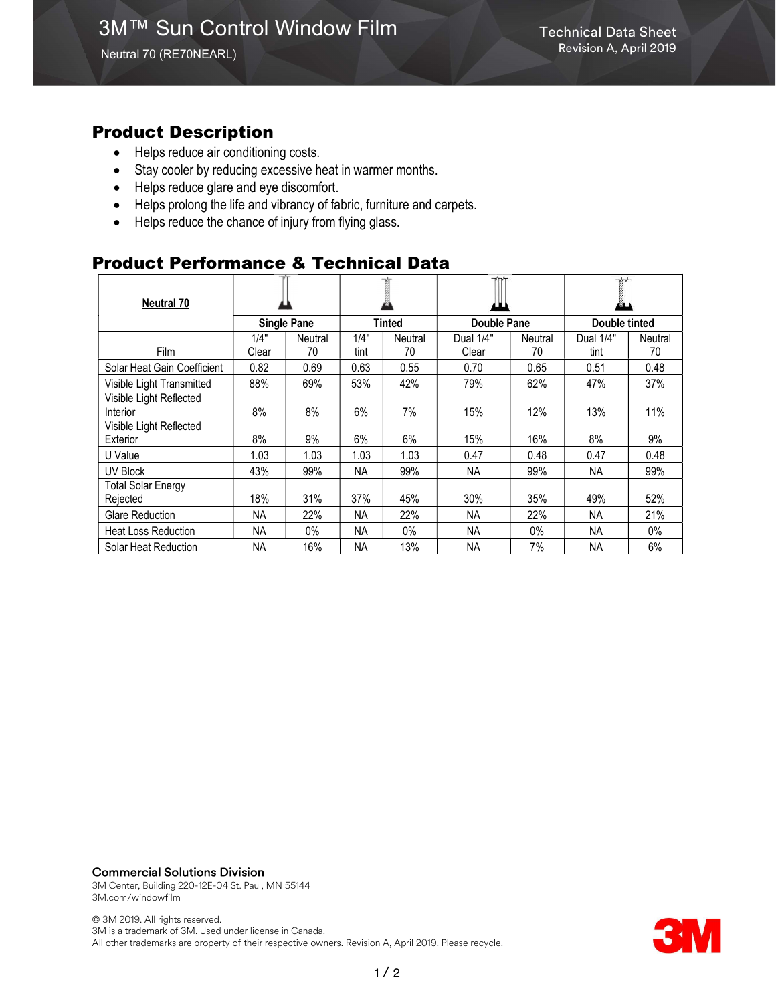### Product Description

- Helps reduce air conditioning costs.
- Stay cooler by reducing excessive heat in warmer months.
- Helps reduce glare and eye discomfort.
- Helps prolong the life and vibrancy of fabric, furniture and carpets.
- Helps reduce the chance of injury from flying glass.

## Product Performance & Technical Data

| <b>Neutral 70</b>                     |                    |         |           |         |                    |         | T<br>ØЦ       |                |
|---------------------------------------|--------------------|---------|-----------|---------|--------------------|---------|---------------|----------------|
|                                       | <b>Single Pane</b> |         | Tinted    |         | <b>Double Pane</b> |         | Double tinted |                |
|                                       | 1/4"               | Neutral | 1/4"      | Neutral | Dual 1/4"          | Neutral | Dual 1/4"     | <b>Neutral</b> |
| <b>Film</b>                           | Clear              | 70      | tint      | 70      | Clear              | 70      | tint          | 70             |
| Solar Heat Gain Coefficient           | 0.82               | 0.69    | 0.63      | 0.55    | 0.70               | 0.65    | 0.51          | 0.48           |
| Visible Light Transmitted             | 88%                | 69%     | 53%       | 42%     | 79%                | 62%     | 47%           | 37%            |
| Visible Light Reflected<br>Interior   | 8%                 | 8%      | 6%        | 7%      | 15%                | 12%     | 13%           | 11%            |
| Visible Light Reflected<br>Exterior   | 8%                 | 9%      | 6%        | 6%      | 15%                | 16%     | 8%            | 9%             |
| U Value                               | 1.03               | 1.03    | 1.03      | 1.03    | 0.47               | 0.48    | 0.47          | 0.48           |
| <b>UV Block</b>                       | 43%                | 99%     | <b>NA</b> | 99%     | <b>NA</b>          | 99%     | <b>NA</b>     | 99%            |
| <b>Total Solar Energy</b><br>Rejected | 18%                | 31%     | 37%       | 45%     | 30%                | 35%     | 49%           | 52%            |
| Glare Reduction                       | ΝA                 | 22%     | <b>NA</b> | 22%     | <b>NA</b>          | 22%     | <b>NA</b>     | 21%            |
| <b>Heat Loss Reduction</b>            | ΝA                 | $0\%$   | <b>NA</b> | $0\%$   | <b>NA</b>          | $0\%$   | NA            | $0\%$          |
| Solar Heat Reduction                  | NA                 | 16%     | <b>NA</b> | 13%     | <b>NA</b>          | 7%      | <b>NA</b>     | 6%             |

#### Commercial Solutions Division

3M Center, Building 220-12E-04 St. Paul, MN 55144 3M.com/windowfilm

© 3M 2019. All rights reserved. 3M is a trademark of 3M. Used under license in Canada. All other trademarks are property of their respective owners. Revision A, April 2019. Please recycle.